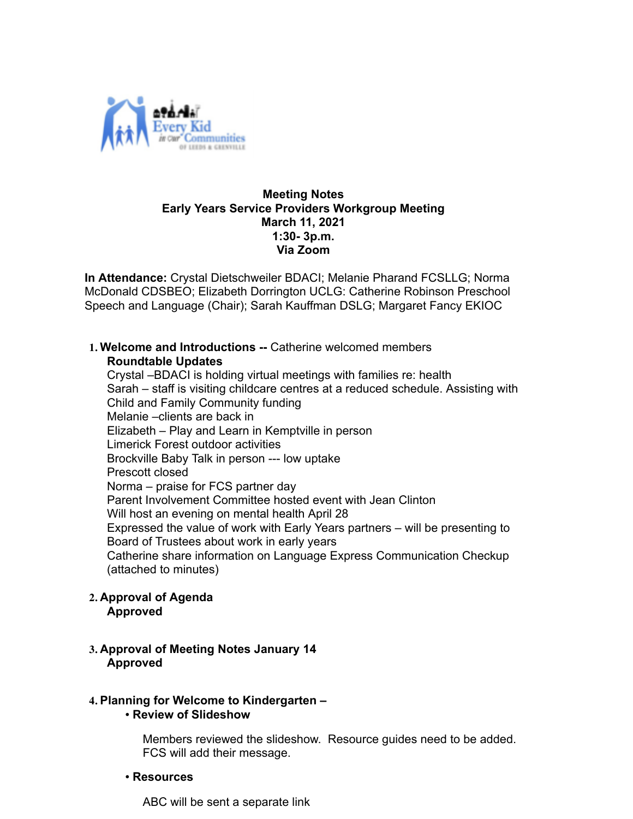

## **Meeting Notes Early Years Service Providers Workgroup Meeting March 11, 2021 1:30- 3p.m. Via Zoom**

 **In Attendance:** Crystal Dietschweiler BDACI; Melanie Pharand FCSLLG; Norma McDonald CDSBEO; Elizabeth Dorrington UCLG: Catherine Robinson Preschool Speech and Language (Chair); Sarah Kauffman DSLG; Margaret Fancy EKIOC

**1. Welcome and Introductions --** Catherine welcomed members **Roundtable Updates**

Crystal –BDACI is holding virtual meetings with families re: health Sarah – staff is visiting childcare centres at a reduced schedule. Assisting with Child and Family Community funding Melanie –clients are back in Elizabeth – Play and Learn in Kemptville in person Limerick Forest outdoor activities Brockville Baby Talk in person --- low uptake Prescott closed Norma – praise for FCS partner day Parent Involvement Committee hosted event with Jean Clinton Will host an evening on mental health April 28 Expressed the value of work with Early Years partners – will be presenting to Board of Trustees about work in early years Catherine share information on Language Express Communication Checkup (attached to minutes)

- **2. Approval of Agenda Approved**
- **3. Approval of Meeting Notes January 14 Approved**

# **4. Planning for Welcome to Kindergarten –**

• **Review of Slideshow**

Members reviewed the slideshow. Resource guides need to be added. FCS will add their message.

• **Resources**

ABC will be sent a separate link